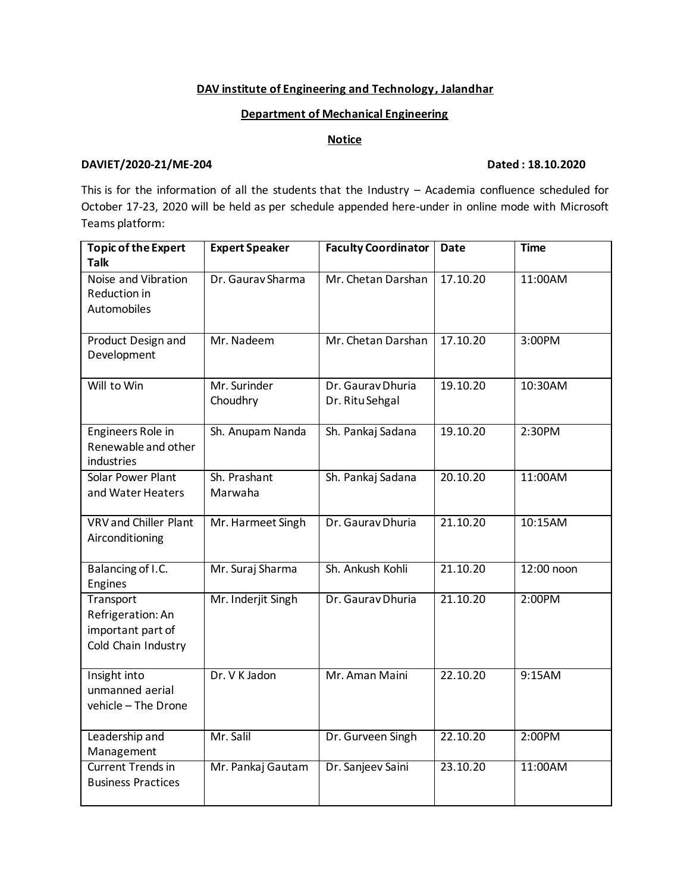# **DAV institute of Engineering and Technology, Jalandhar**

## **Department of Mechanical Engineering**

### **Notice**

#### **DAVIET/2020-21/ME-204 Dated : 18.10.2020**

This is for the information of all the students that the Industry – Academia confluence scheduled for October 17-23, 2020 will be held as per schedule appended here-under in online mode with Microsoft Teams platform:

| <b>Topic of the Expert</b><br><b>Talk</b>                                  | <b>Expert Speaker</b>    | <b>Faculty Coordinator</b>           | <b>Date</b> | <b>Time</b> |
|----------------------------------------------------------------------------|--------------------------|--------------------------------------|-------------|-------------|
| Noise and Vibration<br>Reduction in<br>Automobiles                         | Dr. Gaurav Sharma        | Mr. Chetan Darshan                   | 17.10.20    | 11:00AM     |
| Product Design and<br>Development                                          | Mr. Nadeem               | Mr. Chetan Darshan                   | 17.10.20    | 3:00PM      |
| Will to Win                                                                | Mr. Surinder<br>Choudhry | Dr. Gaurav Dhuria<br>Dr. Ritu Sehgal | 19.10.20    | 10:30AM     |
| Engineers Role in<br>Renewable and other<br>industries                     | Sh. Anupam Nanda         | Sh. Pankaj Sadana                    | 19.10.20    | 2:30PM      |
| Solar Power Plant<br>and Water Heaters                                     | Sh. Prashant<br>Marwaha  | Sh. Pankaj Sadana                    | 20.10.20    | 11:00AM     |
| VRV and Chiller Plant<br>Airconditioning                                   | Mr. Harmeet Singh        | Dr. Gaurav Dhuria                    | 21.10.20    | 10:15AM     |
| Balancing of I.C.<br>Engines                                               | Mr. Suraj Sharma         | Sh. Ankush Kohli                     | 21.10.20    | 12:00 noon  |
| Transport<br>Refrigeration: An<br>important part of<br>Cold Chain Industry | Mr. Inderjit Singh       | Dr. Gaurav Dhuria                    | 21.10.20    | 2:00PM      |
| Insight into<br>unmanned aerial<br>vehicle - The Drone                     | Dr. V K Jadon            | Mr. Aman Maini                       | 22.10.20    | 9:15AM      |
| Leadership and<br>Management                                               | Mr. Salil                | Dr. Gurveen Singh                    | 22.10.20    | 2:00PM      |
| <b>Current Trends in</b><br><b>Business Practices</b>                      | Mr. Pankaj Gautam        | Dr. Sanjeev Saini                    | 23.10.20    | 11:00AM     |